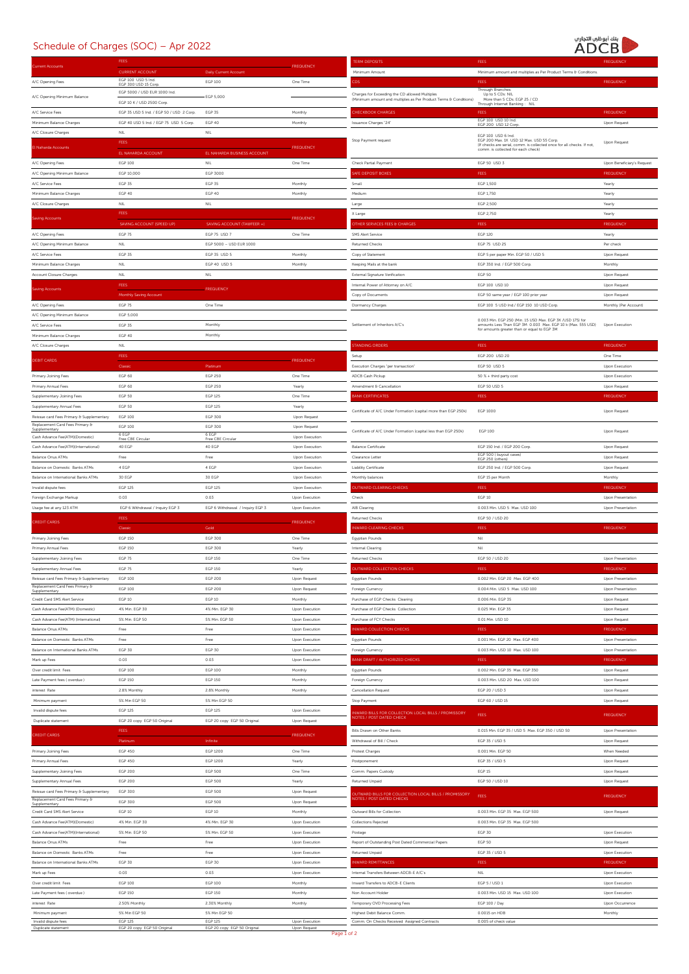## Schedule of Charges (SOC) – Apr 2022

## بنك أبوظي التجاري<br>ADCB

|                                                                                                                                                                                                                                                                        |                                           |                                  | <b>FREQUENCY</b>       | <b>TERM DEPOSITS</b>                                                                       |                                                                                                                    | <b>FREQUENCY</b>               |
|------------------------------------------------------------------------------------------------------------------------------------------------------------------------------------------------------------------------------------------------------------------------|-------------------------------------------|----------------------------------|------------------------|--------------------------------------------------------------------------------------------|--------------------------------------------------------------------------------------------------------------------|--------------------------------|
| rent Accounts                                                                                                                                                                                                                                                          | <b>CURRENT ACCOUNT</b>                    | Daily Current Account            |                        | Minimum Amount                                                                             | Minimum amount and multiples as Per Product Terms & Conditions.                                                    |                                |
| A/C Opening Fees                                                                                                                                                                                                                                                       | EGP 100 USD 5 Ind.<br>EGP 300 USD 15 Corp | EGP 100                          | One Time               | ĎŚ                                                                                         | FEES                                                                                                               | <b>FREQUENCY</b>               |
|                                                                                                                                                                                                                                                                        | EGP 5000 / USD EUR 1000 Ind.              |                                  |                        | Charges for Exceeding the CD allowed Multiples                                             | Through Branches:<br>Up to 5 CDs: NIL                                                                              |                                |
| A/C Opening Minimum Balance                                                                                                                                                                                                                                            | EGP 10 K / USD 2500 Corp.                 | <b>EGP 5,000</b>                 |                        | (Minimum amount and multiples as Per Product Terms & Conditions)                           | More than 5 CDs: EGP 25 / CD<br>Through Internet Banking: NIL                                                      |                                |
| A/C Service Fees                                                                                                                                                                                                                                                       | EGP 35 USD 5 Ind. / EGP 50 / USD 2 Corp.  | <b>EGP 35</b>                    | Monthly                | <b>HECKBOOK CHARGES</b>                                                                    | FEE!                                                                                                               | <b>FREQUENCY</b>               |
| Minimum Balance Charges                                                                                                                                                                                                                                                | EGP 40 USD 5 Ind. / EGP 75 USD 5 Corp.    | EGP 40                           | Monthly                | Issuance Charges "24"                                                                      | EGP 100 USD 10 Ind.<br>EGP 200 USD 12 Corr                                                                         | Upon Request                   |
| A/C Closure Charges                                                                                                                                                                                                                                                    | NIL                                       | <b>NIL</b>                       |                        |                                                                                            | EGP 100 USD 6 Ind.                                                                                                 |                                |
| irda Account                                                                                                                                                                                                                                                           | <b>FEES</b>                               |                                  | <b>FREQUENC</b>        | Stop Payment request                                                                       | EGP 200 Max. 1K USD 12 Max. USD 55 Corp.<br>(If checks are serial, comm. is collected once for all checks. If not, | Upon Request                   |
|                                                                                                                                                                                                                                                                        | EL NAHARDA ACCOUNT                        | EL NAHARDA BUSINESS ACCOUNT      |                        |                                                                                            | comm. is collected for each check)                                                                                 |                                |
| A/C Opening Fees                                                                                                                                                                                                                                                       | <b>EGP 100</b>                            | NIL                              | One Time               | Check Partial Payment                                                                      | EGP 50 USD 3                                                                                                       | Upon Beneficiary's Request     |
| A/C Opening Minimum Balance                                                                                                                                                                                                                                            | EGP 10,000                                | EGP 3000                         |                        | AFE DEPOSIT BOXES                                                                          | FEES                                                                                                               | <b>FREQUENCY</b>               |
| A/C Service Fees                                                                                                                                                                                                                                                       | <b>EGP 35</b>                             | <b>EGP 35</b>                    | Monthly                | Small                                                                                      | EGP 1,500                                                                                                          | Yearly                         |
| Minimum Balance Charges                                                                                                                                                                                                                                                | EGP 40                                    | EGP 40                           | Monthly                | Medium                                                                                     | EGP 1.750                                                                                                          | Yearly                         |
| A/C Closure Charges                                                                                                                                                                                                                                                    | NIL                                       | <b>NIL</b>                       |                        | Large                                                                                      | EGP 2.500                                                                                                          | Yearly                         |
| ring Accounts                                                                                                                                                                                                                                                          | <b>FEES</b>                               |                                  | <b>FREQUENCY</b>       | X Large                                                                                    | EGP 2,750                                                                                                          | Yearly                         |
|                                                                                                                                                                                                                                                                        | SAVING ACCOUNT (SPEED UP                  | SAVING ACCOUNT (TAWFEER +)       |                        | <b>THER SERVICES FEES &amp; CHARGES</b>                                                    | FEES                                                                                                               | <b>FREQUENC</b>                |
| A/C Opening Fees                                                                                                                                                                                                                                                       | EGP 75                                    | EGP 75 USD 7                     | One Time               | SMS Alert Service                                                                          | <b>EGP 120</b>                                                                                                     | Yearly                         |
| A/C Opening Minimum Balance                                                                                                                                                                                                                                            | $NIL$                                     | EGP 5000 - USD EUR 1000          |                        | Returned Checks                                                                            | EGP 75 USD 25                                                                                                      | Per check                      |
| A/C Service Fees                                                                                                                                                                                                                                                       | <b>EGP 35</b>                             | EGP 35 USD 5                     | Monthly                | Copy of Statement                                                                          | EGP 5 per paper Min. EGP 50 / USD 5                                                                                | Upon Request                   |
| Minimum Balance Charges                                                                                                                                                                                                                                                | NIL                                       | EGP 40 USD 5                     | Monthly                | Keeping Mails at the bank                                                                  | EGP 350 Ind. / EGP 500 Corp.                                                                                       | Monthly                        |
| Account Closure Charges                                                                                                                                                                                                                                                | NIL                                       | NIL                              |                        | External Signature Verification                                                            | <b>EGP 50</b>                                                                                                      | Upon Request                   |
| ing Accounts                                                                                                                                                                                                                                                           | <b>FEES</b>                               | <b>FREQUENCY</b>                 |                        | Internal Power of Attorney on A/C                                                          | EGP 100 USD 10                                                                                                     | Upon Request                   |
|                                                                                                                                                                                                                                                                        | Monthly Saving Account                    |                                  |                        | Copy of Documents                                                                          | EGP 50 same year / EGP 100 prior yea                                                                               | Upon Request                   |
| A/C Opening Fees                                                                                                                                                                                                                                                       | EGP 75                                    | One Time                         |                        | Dormancy Charges                                                                           | EGP 100 5 USD Ind./ EGP 150 10 USD Corp.                                                                           | Monthly (Per Account)          |
| A/C Opening Minimum Balance                                                                                                                                                                                                                                            | EGP 5,000                                 |                                  |                        |                                                                                            | 0.003 Min. EGP 250 (Min. 15 USD Max. EGP 3K /USD 175) for                                                          |                                |
| A/C Service Fees                                                                                                                                                                                                                                                       | <b>EGP 35</b>                             | Monthly                          |                        | Settlement of Inheritors A/C's                                                             | amounts Less Than EGP 3M 0.003 Max. EGP 10 k (Max. 555 USD)<br>for amounts greater than or equal to EGP 3M         | Upon Execution                 |
| Minimum Balance Charges                                                                                                                                                                                                                                                | EGP 40                                    | Monthly                          |                        |                                                                                            |                                                                                                                    |                                |
| A/C Closure Charges                                                                                                                                                                                                                                                    | $\mathsf{NIL}$                            |                                  |                        | <b>TANDING ORDERS</b>                                                                      | FEES                                                                                                               | <b>FREQUENCY</b>               |
| <b>EBIT CARDS</b>                                                                                                                                                                                                                                                      | <b>FEES</b>                               |                                  | <b>FREQUENCY</b>       | Setup                                                                                      | EGP 200 USD 20                                                                                                     | One Time                       |
|                                                                                                                                                                                                                                                                        | Classi                                    | Platinun                         |                        | Execution Charges "per transaction                                                         | EGP 50 USD 5                                                                                                       | Upon Execution                 |
| Primary Joining Fees<br>Primary Annual Fees                                                                                                                                                                                                                            | <b>EGP 60</b><br><b>EGP 60</b>            | <b>EGP 250</b><br><b>EGP 250</b> | One Time               | ADCB Cash Pickup<br>Amendment & Cancellation                                               | 50 % + third party cost<br>EGP 50 USD 5                                                                            | Upon Execution<br>Upon Request |
|                                                                                                                                                                                                                                                                        | <b>EGP 50</b>                             | <b>EGP 125</b>                   | Yearly<br>One Time     | <b>ANK CERTIFICATES</b>                                                                    | FEES                                                                                                               | <b>FREQUENCY</b>               |
| Supplementary Joining Fees<br>Supplementary Annual Fees                                                                                                                                                                                                                | <b>EGP 50</b>                             | <b>EGP 125</b>                   | Yearly                 |                                                                                            |                                                                                                                    |                                |
| Reissue card Fees Primary & Supplementary                                                                                                                                                                                                                              | <b>EGP 100</b>                            | EGP 300                          | Upon Request           | Certificate of A/C Under Formation (capital more than EGP 250k)                            | EGP 1000                                                                                                           | Upon Request                   |
| Replacement Card Fees Primary &                                                                                                                                                                                                                                        | <b>EGP 100</b>                            | EGP 300                          | Upon Request           |                                                                                            |                                                                                                                    |                                |
| Supplementary<br>Cash Advance Fee(ATM)(Domestic)                                                                                                                                                                                                                       | 6 EGP                                     | 6 EGP                            | Upon Execution         | Certificate of A/C Under Formation (capital less than EGP 250k)                            | <b>EGP 100</b>                                                                                                     | Upon Request                   |
| Cash Advance Fee(ATM)(International                                                                                                                                                                                                                                    | Free CBE Circula<br>40 EGP                | Free CBE Circ<br>40 EGP          | Upon Execution         | <b>Balance Certificate</b>                                                                 | EGP 150 Ind. / EGP 200 Corp.                                                                                       | <b>Upon Request</b>            |
|                                                                                                                                                                                                                                                                        |                                           |                                  |                        |                                                                                            |                                                                                                                    |                                |
|                                                                                                                                                                                                                                                                        |                                           |                                  |                        |                                                                                            | EGP 500 (buyout cases)                                                                                             |                                |
|                                                                                                                                                                                                                                                                        | Free                                      | Free                             | Upon Execution         | Clearance Letter                                                                           | <b>EGP 250 (other</b>                                                                                              | Upon Request                   |
|                                                                                                                                                                                                                                                                        | 4 EGP                                     | 4 EGP                            | Upon Execution         | Liability Certificate                                                                      | EGP 250 Ind. / EGP 500 Corp.                                                                                       | Upon Request                   |
|                                                                                                                                                                                                                                                                        | 30 EGP                                    | 30 EGP                           | Upon Execution         | Monthly balances                                                                           | EGP 15 per Month                                                                                                   | Monthly                        |
| <b>Balance Onus ATMs</b><br>Balance on Domestic Banks ATMs<br>Balance on International Banks ATMs<br>Invalid dispute fees                                                                                                                                              | <b>EGP 125</b>                            | <b>EGP 125</b>                   | Upon Execution         | <b>UTWARD CLEARING CHECKS</b>                                                              | FEES                                                                                                               | <b>FREQUENCY</b>               |
|                                                                                                                                                                                                                                                                        | 0.03                                      | 0.03                             | Upon Execution         | Check                                                                                      | <b>EGP 10</b>                                                                                                      | Upon Presentation              |
|                                                                                                                                                                                                                                                                        | EGP 6 Withdrawal / Inquiry EGP 3<br>FEES  | EGP 6 Withdrawal / Inquiry EGP 3 | Upon Execution         | AIB Clearing<br><b>Returned Checks</b>                                                     | 0.003 Min. USD 5 Max. USD 100<br>EGP 50 / USD 20                                                                   | Upon Presentation              |
| <b>REDIT CARDS</b>                                                                                                                                                                                                                                                     |                                           |                                  | <b>FREQUENC</b>        |                                                                                            |                                                                                                                    |                                |
|                                                                                                                                                                                                                                                                        | Classic                                   | Gold                             |                        | NWARD CLEARING CHECKS<br>Eqyptian Pounds                                                   | FEES                                                                                                               | <b>FREQUENCY</b>               |
| Foreign Exchange Markup<br>Usage fee at any 123 ATM<br>Primary Joining Fees<br>Primary Annual Fees                                                                                                                                                                     | <b>EGP 150</b><br><b>EGP 150</b>          | EGP 300<br><b>EGP 300</b>        | One Time<br>Yearly     | Internal Clearing                                                                          | Ni<br>Ni                                                                                                           |                                |
|                                                                                                                                                                                                                                                                        | EGP 75                                    | <b>EGP 150</b>                   | One Time               | <b>Returned Checks</b>                                                                     | EGP 50 / USD 20                                                                                                    | Upon Presentation              |
|                                                                                                                                                                                                                                                                        |                                           |                                  |                        |                                                                                            | FFF                                                                                                                | <b>EDECU II</b>                |
|                                                                                                                                                                                                                                                                        | EGP 75<br><b>EGP 100</b>                  | <b>EGP 150</b><br><b>EGP 200</b> | Yearly<br>Upon Request |                                                                                            | 0.002 Min. EGP 20 Max. EGP 400                                                                                     | Upon Presentation              |
|                                                                                                                                                                                                                                                                        | <b>EGP 100</b>                            | <b>EGP 200</b>                   | Upon Request           | Egyptian Pounds<br>Foreign Currency                                                        | 0.004 Min. USD 5 Max. USD 100                                                                                      | <b>Upon Presentation</b>       |
| Supplementary Joining Fees<br>Supplementary Annual Fees<br>Reissue card Fees Primary & Supplementary<br>Replacement Card Fees Primary &<br>Credit Card SMS Alert Service                                                                                               | EGP 10                                    | EGP 10                           | Monthly                | Purchase of EGP Checks Clearing                                                            | 0.006 Min. EGP 35                                                                                                  | Upon Request                   |
|                                                                                                                                                                                                                                                                        | 4% Min. EGP 30                            | 4% Min. EGP 30                   | Upon Execution         | Purchase of EGP Checks Collection                                                          | 0.025 Min. EGP 35                                                                                                  | Upon Request                   |
|                                                                                                                                                                                                                                                                        | 5% Min. EGP 50                            | 5% Min. EGP 50                   | Upon Execution         | Purchase of FCY Checks                                                                     | 0.01 Min. USD 10                                                                                                   | Upon Request                   |
| Cash Advance Fee(ATM) (Domestic)<br>Cash Advance Fee(ATM) (International)<br><b>Balance Onus ATMs</b>                                                                                                                                                                  | Free                                      | Free                             | Upon Execution         | <b>WARD COLLECTION CHECKS</b>                                                              | FEES                                                                                                               | <b>FREQUENCY</b>               |
|                                                                                                                                                                                                                                                                        | Free                                      | Free                             | Upon Execution         | Egyptian Pounds                                                                            | 0.001 Min. EGP 20 Max. EGP 400                                                                                     | Upon Presentation              |
|                                                                                                                                                                                                                                                                        | <b>EGP 30</b>                             | <b>EGP 30</b>                    | Upon Execution         | Foreign Currency                                                                           | 0.003 Min. USD 10 Max. USD 100                                                                                     | Upon Presentation              |
|                                                                                                                                                                                                                                                                        | 0.03                                      | 0.03                             | Upon Execution         | <b>IANK DRAFT / AUTHORIZED CHECKS</b>                                                      | FEES:                                                                                                              | <b>FREQUENCY</b>               |
|                                                                                                                                                                                                                                                                        | <b>EGP 100</b>                            | EGP 100                          | Monthly                | Eqyptian Pounds                                                                            | 0.002 Min. EGP 35 Max. EGP 350                                                                                     | Upon Request                   |
|                                                                                                                                                                                                                                                                        | EGP 150                                   | EGP 150                          | Monthly                | Foreign Currency                                                                           | 0.003 Min. USD 20 Max. USD 100                                                                                     | Upon Request                   |
|                                                                                                                                                                                                                                                                        | 2.8% Monthly                              | 2.8% Monthly                     | Monthly                | Cancellation Request                                                                       | EGP 20 / USD 3                                                                                                     | Upon Request                   |
|                                                                                                                                                                                                                                                                        | 5% Min EGP 50                             | 5% Min EGP 50                    |                        | Stop Payment                                                                               | EGP 60 / USD 15                                                                                                    | Upon Request                   |
|                                                                                                                                                                                                                                                                        | <b>EGP 125</b>                            | <b>EGP 125</b>                   | Upon Execution         | WARD BILLS FOR COLLECTION LOCAL BILLS / PROMISSORY                                         |                                                                                                                    |                                |
|                                                                                                                                                                                                                                                                        | EGP 20 copy EGP 50 Original               | EGP 20 copy EGP 50 Original      | Upon Request           | OTES / POST DATED CHECK                                                                    | <b>FEES</b>                                                                                                        | <b>FREQUENCY</b>               |
| Balance on Domestic Banks ATMs<br>Balance on International Banks ATMs<br>Mark up Fees<br>Over credit limit Fees<br>Late Payment fees (overdue)<br>interest Rate<br>Minimum payment<br>Invalid dispute fees<br>Duplicate statement                                      | FEES:                                     |                                  |                        | Bills Drawn on Other Banks                                                                 | 0.015 Min. EGP 35 / USD 5 Max. EGP 350 / USD 50                                                                    | Upon Presentation              |
|                                                                                                                                                                                                                                                                        | Platinun                                  | Infinite                         | <b>FREQUENCY</b>       | Withdrawal of Bill / Check                                                                 | EGP 35 / USD 5                                                                                                     | Upon Request                   |
|                                                                                                                                                                                                                                                                        | <b>EGP 450</b>                            | EGP 1200                         | One Time               | Protest Charges                                                                            | 0.001 Min. EGP 50                                                                                                  | When Needed                    |
|                                                                                                                                                                                                                                                                        | <b>EGP 450</b>                            | EGP 1200                         | Yearly                 | Postponement                                                                               | EGP 35 / USD 5                                                                                                     | Upon Request                   |
|                                                                                                                                                                                                                                                                        | <b>EGP 200</b>                            | <b>EGP 500</b>                   | One Time               | Comm. Papers Custody                                                                       | EGP <sub>15</sub>                                                                                                  | Upon Request                   |
|                                                                                                                                                                                                                                                                        | <b>EGP 200</b>                            | <b>EGP 500</b>                   | Yearly                 | Returned Unpaid                                                                            | EGP 50 / USD 10                                                                                                    | <b>Upon Request</b>            |
|                                                                                                                                                                                                                                                                        | EGP 300                                   | <b>EGP 500</b>                   | Upon Request           |                                                                                            |                                                                                                                    |                                |
|                                                                                                                                                                                                                                                                        | EGP 300                                   | <b>EGP 500</b>                   | Upon Request           | <b>DUTWARD BILLS FOR COLLECTION LOCAL BILLS / PROMISSORY<br/>(OTES / POST DATED CHECKS</b> | FEES                                                                                                               | <b>FREQUENCY</b>               |
| <b>REDIT CARDS</b><br>Primary Joining Fees<br>Primary Annual Fees<br>Supplementary Joining Fees<br>Supplementary Annual Fees<br>Reissue card Fees Primary & Supplementary<br>Replacement Card Fees Primary &<br>Supplementary<br>Credit Card SMS Alert Service         | <b>EGP 10</b>                             | EGP 10                           | Monthly                | Outward Bills for Collection                                                               | 0.003 Min. EGP 35 Max. EGP 500                                                                                     | Upon Request                   |
|                                                                                                                                                                                                                                                                        | 4% Min. EGP 30                            | 4% Min. EGP 30                   | Upon Execution         | Collections Rejected                                                                       | 0.003 Min. EGP 35 Max. EGP 500                                                                                     |                                |
|                                                                                                                                                                                                                                                                        | 5% Min. EGP 50                            | 5% Min. EGP 50                   | Upon Execution         | Postage                                                                                    | <b>EGP 30</b>                                                                                                      | Upon Execution                 |
|                                                                                                                                                                                                                                                                        | Free                                      | Free                             | Upon Execution         | Report of Outstanding Post Dated Commercial Papers                                         | <b>EGP 50</b>                                                                                                      | <b>Upon Request</b>            |
|                                                                                                                                                                                                                                                                        | Free                                      | Free                             | Upon Execution         | Returned Unpaid                                                                            | EGP 35 / USD 5                                                                                                     | Upon Execution                 |
|                                                                                                                                                                                                                                                                        | <b>EGP 30</b>                             | EGP 30                           | Upon Execution         | <b>WARD REMITTANCES</b>                                                                    | FEES                                                                                                               | <b>FREQUENCY</b>               |
|                                                                                                                                                                                                                                                                        | 0.03                                      | 0.03                             | Upon Execution         | Internal Transfers Between ADCB-E A/C's                                                    | $NIL$                                                                                                              | Upon Execution                 |
|                                                                                                                                                                                                                                                                        | <b>EGP 100</b>                            | EGP 100                          | Monthly                | Inward Transfers to ADCB-E Clients                                                         | EGP 5 / USD 1                                                                                                      | Upon Execution                 |
|                                                                                                                                                                                                                                                                        | EGP 150                                   | <b>EGP 150</b>                   | Monthly                | Non Account Holder                                                                         | 0.003 Min. USD 15 Max. USD 100                                                                                     | Upon Execution                 |
| Cash Advance Fee(ATM)(Domestic)<br>Cash Advance Fee(ATM)(International)<br><b>Balance Onus ATMs</b><br>Balance on Domestic Banks ATMs<br>Balance on International Banks ATMs<br>Mark up Fees<br>Over credit limit Fees<br>Late Payment fees (overdue)<br>interest Rate | 2.50% Monthly                             | 2.30% Monthly                    | Monthly                | Temporary OVD Processing Fees                                                              | EGP 100 / Day                                                                                                      | Upon Occurrence                |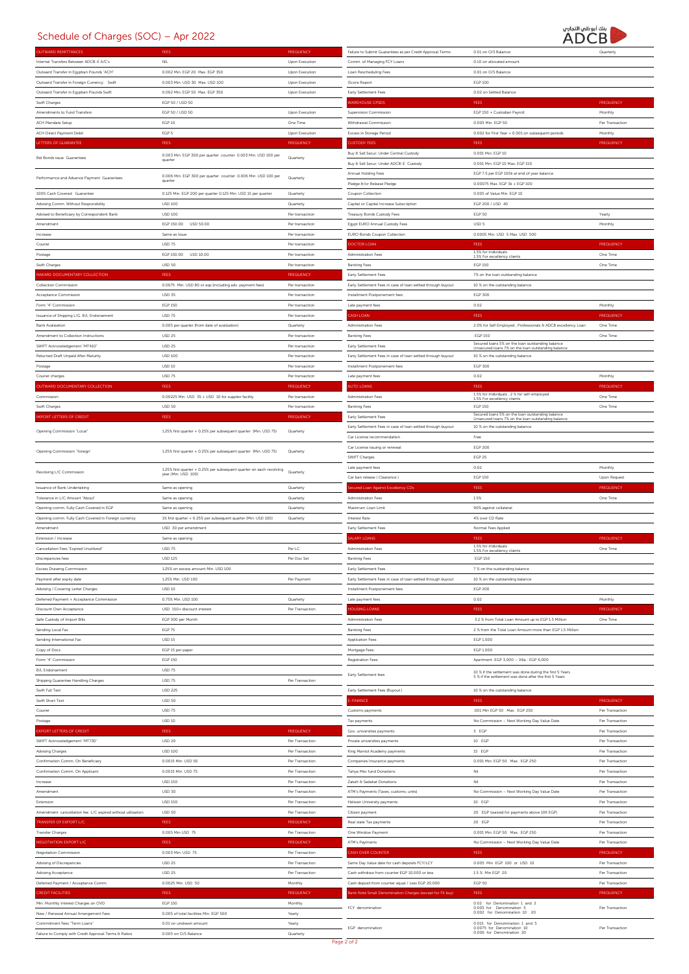## Schedule of Charges (SOC) – Apr 2022



|                                                            |                                                                          |                  |                                                              | ハレ〜レ                                                                                                               |                  |
|------------------------------------------------------------|--------------------------------------------------------------------------|------------------|--------------------------------------------------------------|--------------------------------------------------------------------------------------------------------------------|------------------|
| <b>DUTWARD REMITTANCES</b>                                 | FEES                                                                     | <b>FREQUENCY</b> | Failure to Submit Guarantees as per Credit Approval Terms    | 0.01 on O/S Balance                                                                                                | Quarterly        |
|                                                            |                                                                          |                  |                                                              |                                                                                                                    |                  |
| Internal Transfers Between ADCB-E A/C's                    | NIL.                                                                     | Upon Execution   | Comm. of Managing FCY Loans                                  | 0.10 on allocated amount                                                                                           |                  |
| Outward Transfer in Egyptian Pounds "ACH"                  | 0.002 Min. EGP 20 Max. EGP 350                                           | Upon Execution   | Loan Rescheduling Fees                                       | 0.01 on O/S Balance                                                                                                |                  |
| Outward Transfer in Foreign Currency Swift                 | 0.003 Min USD 30 Max USD 100                                             | Upon Execution   | <b>IScore Report</b>                                         | <b>EGP 100</b>                                                                                                     |                  |
|                                                            |                                                                          |                  |                                                              |                                                                                                                    |                  |
| Outward Transfer in Eqyptian Pounds Swift                  | 0.002 Min. EGP 50 Max. EGP 350                                           | Upon Execution   | Early Settlement Fees                                        | 0.02 on Settled Balance                                                                                            |                  |
| Swift Charges                                              | EGP 50 / USD 50                                                          |                  | <b>AREHOUSE CPSDS</b>                                        | FEES                                                                                                               | <b>FREQUENCY</b> |
|                                                            |                                                                          |                  |                                                              |                                                                                                                    |                  |
| Amendments to Fund Transfers                               | EGP 50 / USD 50                                                          | Upon Execution   | Supervision Commission                                       | EGP 150 + Custodian Payroll                                                                                        | Monthly          |
| ACH Mandate Setup                                          | <b>EGP 10</b>                                                            | One Time         | Withdrawal Commission                                        | 0.005 Min. EGP 50                                                                                                  | Per Transaction  |
|                                                            |                                                                          |                  |                                                              |                                                                                                                    |                  |
| ACH Direct Payment Debit                                   | EGP 5                                                                    | Upon Execution   | Excess in Storage Period                                     | 0.002 for First Year + 0.001 on subsequent periods                                                                 | Monthly          |
| <b>ETTERS OF GUARANTEE</b>                                 | FEES                                                                     | <b>FREQUENCY</b> | <b>USTODY FEES</b>                                           | FEES                                                                                                               | <b>FREQUENCY</b> |
|                                                            |                                                                          |                  |                                                              |                                                                                                                    |                  |
| <b>Bid Bonds issue Guarantees</b>                          | 0.003 Min. EGP 300 per quarter counter 0.003 Min. USD 100 per            | Quarterly        | Buy & Sell Secur. Under Central Custody                      | 0.001 Min. EGP 10                                                                                                  |                  |
|                                                            | quarter                                                                  |                  | Buy & Sell Secur. Under ADCB-E Custody                       | 0.001 Min. EGP 10 Max. EGP 150                                                                                     |                  |
|                                                            |                                                                          |                  | Annual Holding Fees                                          | EGP 7.5 per EGP 100k at end of year balance                                                                        |                  |
| Performance and Advance Payment Guarantees                 | 0.006 Min. EGP 300 per quarter counter 0.006 Min. USD 100 per<br>quarter | Quarterly        |                                                              |                                                                                                                    |                  |
|                                                            |                                                                          |                  | Pledge &/or Release Pledge                                   | 0.00075 Max. EGP 3k + EGP 100                                                                                      |                  |
| 100% Cash Covered Guarantee                                | 0.125 Min. EGP 200 per quarter 0.125 Min. USD 15 per quarter             | Quarterly        | Coupon Collection                                            | 0.005 of Value Min. EGP 10                                                                                         |                  |
|                                                            |                                                                          |                  |                                                              |                                                                                                                    |                  |
| Advising Comm. Without Responsibility                      | <b>USD 100</b>                                                           | Quarterly        | Capital or Capital Increase Subscription                     | EGP 200 / USD 40                                                                                                   |                  |
| Advised to Beneficiary by Correspondent Bank               | <b>USD 100</b>                                                           | Per transaction  | Treasury Bonds Custody Fees                                  | <b>EGP 50</b>                                                                                                      | Yearly           |
|                                                            |                                                                          |                  |                                                              |                                                                                                                    |                  |
| Amendment                                                  | EGP 150.00 USD 50.00                                                     | Per transaction  | Egypt EURO Annual Custody Fees                               | USD 5                                                                                                              | Monthly          |
| Increase                                                   | Same as Issue                                                            | Per transaction  | EURO Bonds Coupon Collection                                 | 0.0005 Min. USD 5 Max. USD 500                                                                                     |                  |
|                                                            |                                                                          |                  |                                                              |                                                                                                                    |                  |
| Courier                                                    | USD 75                                                                   | Per transaction  | <b>OCTOR LOAN</b>                                            | FEES                                                                                                               | <b>FREQUENCY</b> |
| Postage                                                    | EGP 150.00<br>USD 10.00                                                  | Per transaction  | Administration Fees                                          | 1.5% for Individuals<br>1.5% For excellency clients                                                                | One Time         |
|                                                            |                                                                          |                  |                                                              |                                                                                                                    |                  |
| Swift Charges                                              | <b>USD 50</b>                                                            | Per transaction  | <b>Banking Fees</b>                                          | <b>EGP 150</b>                                                                                                     | One Time         |
| NWARD DOCUMENTARY COLLECTION                               | FEES                                                                     | <b>FREQUENCY</b> | Early Settlement Fees                                        | 7% on the loan outstanding balance                                                                                 |                  |
| Collection Commission                                      |                                                                          | Per transaction  |                                                              |                                                                                                                    |                  |
|                                                            | 0.0075 Min. USD 80 or eqv.(including adv. payment fees)                  |                  | Early Settlement Fees in case of loan settled through buyout | 10 % on the outstanding balance                                                                                    |                  |
| Acceptance Commission                                      | <b>USD 35</b>                                                            | Per transaction  | Installment Postponement fees                                | EGP 300                                                                                                            |                  |
| Form '4" Commission                                        | <b>EGP 150</b>                                                           | Per transaction  | Late payment fees                                            | 0.02                                                                                                               | Monthly          |
|                                                            |                                                                          |                  |                                                              |                                                                                                                    |                  |
| Issuance of Shipping L/G B/L Endorsement                   | <b>USD 75</b>                                                            | Per transaction  | CASH LOAN                                                    | <b>FEES</b>                                                                                                        | <b>FREQUENCY</b> |
| <b>Bank Avalization</b>                                    | 0.005 per quarter (from date of avalization)                             | Quarterly        | Administration Fees                                          | 2.0% for Self Employed , Professionals & ADCB excellency Loan                                                      | One Time         |
|                                                            |                                                                          |                  |                                                              |                                                                                                                    |                  |
| Amendment to Collection Instructions                       | <b>USD 25</b>                                                            | Per transaction  | <b>Banking Fees</b>                                          | <b>EGP 150</b>                                                                                                     | One Time         |
| SWIFT Acknowledgement "MT410"                              | <b>USD 25</b>                                                            | Per transaction  | Early Settlement Fees                                        | Secured loans 5% on the loan outstanding balance<br>Unsecured loans 7% on the loan outstanding balance             |                  |
|                                                            |                                                                          |                  |                                                              |                                                                                                                    |                  |
| Returned Draft Unpaid After Maturity                       | <b>USD 100</b>                                                           | Per transaction  | Early Settlement Fees in case of loan settled through buyout | 10 % on the outstanding balance                                                                                    |                  |
| Postage                                                    | <b>USD 10</b>                                                            | Per transaction  | Installment Postponement fees                                | EGP 300                                                                                                            |                  |
| Courier charges                                            | USD 75                                                                   | Per transaction  | Late payment fees                                            | 0.02                                                                                                               | Monthly          |
|                                                            |                                                                          |                  |                                                              |                                                                                                                    |                  |
| <b>DUTWARD DOCUMENTARY COLLECTION</b>                      | FEES                                                                     | <b>FREQUENCY</b> | <b>UTO LOANS</b>                                             | FEES                                                                                                               | <b>FREQUENCY</b> |
| Commission                                                 |                                                                          | Per transaction  | Administration Fees                                          | 1.5% for Individuals, 2 % for self-employed                                                                        | One Time         |
|                                                            | 0.00225 Min. USD 35 + USD 10 for supplier facility                       |                  |                                                              | 1.5% For excellency clients                                                                                        |                  |
| Swift Charges                                              | <b>USD 50</b>                                                            | Per transaction  | <b>Banking Fees</b>                                          | <b>EGP 150</b>                                                                                                     | One Time         |
| <b>MPORT LETTERS OF CREDIT</b>                             | <b>FEES</b>                                                              | <b>FREQUENCY</b> | Early Settlement Fees                                        | Secured loans 5% on the loan outstanding balance                                                                   |                  |
|                                                            |                                                                          |                  |                                                              | Unsecured loans 7% on the loan outstanding balance                                                                 |                  |
|                                                            |                                                                          |                  | Early Settlement Fees in case of loan settled through buyout | 10 % on the outstanding balance                                                                                    |                  |
| Opening Commission "Local"                                 | 125% first quarter + 0.25% per subsequent quarter (Min. USD 75)          | Quarterly        | Car License recommendation                                   | Free                                                                                                               |                  |
|                                                            |                                                                          |                  |                                                              |                                                                                                                    |                  |
| Opening Commission "foreign                                | 125% first quarter + 0.25% per subsequent quarter (Min. USD 75)          | Quarterly        | Car License issuing or renewal                               | <b>EGP 200</b>                                                                                                     |                  |
|                                                            |                                                                          |                  | SWIFT Charges                                                | <b>EGP 25</b>                                                                                                      |                  |
|                                                            |                                                                          |                  |                                                              |                                                                                                                    |                  |
| Revolving L/C Commission                                   | 125% first quarter + 0.25% per subsequent quarter on each revolving      | Quarterly        | Late payment fees                                            | 0.02                                                                                                               | Monthly          |
|                                                            | year (Min. USD 100)                                                      |                  | Car ban release (Clearance)                                  | <b>EGP 150</b>                                                                                                     | Upon Request     |
|                                                            |                                                                          |                  |                                                              |                                                                                                                    |                  |
|                                                            |                                                                          |                  |                                                              |                                                                                                                    |                  |
| Issuance of Bank Undertaking                               | Same as opening                                                          | Quarterly        | ecured Loan Against Excellency CDs                           | FEES                                                                                                               | <b>FREQUENCY</b> |
| Tolerance in L/C Amount "About"                            | Same as opening                                                          | Quarterly        | Administration Fees                                          | 1.5%                                                                                                               | One Time         |
|                                                            |                                                                          |                  |                                                              |                                                                                                                    |                  |
| Opening comm. Fully Cash Covered in EGP                    | Same as opening                                                          | Quarterly        | Maximum Loan Limit                                           | 90% against collateral                                                                                             |                  |
| Opening comm. Fully Cash Covered in Foreign currency       | 1% first quarter + 0.25% per subsequent quarter (Min. USD 100)           | Quarterly        | Interest Rate                                                | 4% over CD Rate                                                                                                    |                  |
| Amendment                                                  |                                                                          |                  |                                                              |                                                                                                                    |                  |
|                                                            | USD 30 per amendment                                                     |                  | Early Settlement Fees                                        | Normal Fees Applied                                                                                                |                  |
| Extension / Increase                                       | Same as opening                                                          |                  | <b>ALARY LOANS</b>                                           | FEES                                                                                                               | <b>FREQUENCY</b> |
| Cancellation Fees "Expired Unutilized"                     | <b>USD 75</b>                                                            | Per LC           | Administration Fees                                          | 1.5% for Individuals                                                                                               | One Time         |
|                                                            |                                                                          |                  |                                                              | 1.5% For excellency clients                                                                                        |                  |
| Discrepancies fees                                         | <b>USD 125</b>                                                           | Per Doc Set      | <b>Banking Fees</b>                                          | <b>EGP 150</b>                                                                                                     |                  |
| Excess Drawing Commission                                  | 1.25% on excess amount Min. USD 100                                      |                  | Early Settlement Fees                                        | 7 % on the outstanding balance                                                                                     |                  |
|                                                            |                                                                          |                  |                                                              |                                                                                                                    |                  |
| Payment after expiry date                                  | 1.25% Min. USD 100                                                       | Per Payment      | Early Settlement Fees in case of loan settled through buyout | 10 % on the outstanding balance                                                                                    |                  |
| Advising / Covering Letter Charges                         | <b>USD 10</b>                                                            |                  | Installment Postponement fees                                | <b>EGP 200</b>                                                                                                     |                  |
| Deferred Payment + Acceptance Commission                   | 0.75% Min. USD 100                                                       | Quarterly        |                                                              | 0.02                                                                                                               |                  |
|                                                            |                                                                          |                  | Late payment fees                                            |                                                                                                                    | Monthly          |
| Discount Own Acceptance                                    | USD 150+ discount interest                                               | Per Transaction  | <b>OUSING LOANS</b>                                          | <b>FEES</b>                                                                                                        | <b>FREQUENCY</b> |
| Safe Custody of Import Bills                               | EGP 300 per Month                                                        |                  | Administration Fees                                          | 3.2 % from Total Loan Amount up to EGP 1.5 Million                                                                 | One Time         |
|                                                            |                                                                          |                  |                                                              |                                                                                                                    |                  |
| Sending Local Fax                                          | EGP 75                                                                   |                  | <b>Banking Fees</b>                                          | 2 % from the Total Loan Amount more than EGP 1.5 Million                                                           |                  |
| Sending International Fax                                  | <b>USD 15</b>                                                            |                  | Application Fees:                                            | EGP 1,000                                                                                                          |                  |
|                                                            |                                                                          |                  |                                                              |                                                                                                                    |                  |
| Copy of Docs                                               | EGP 15 per paper                                                         |                  | Mortgage Fees:                                               | EGP 1,000                                                                                                          |                  |
| Form '4" Commission                                        | EGP 150                                                                  |                  | Registration Fees:                                           | Apartment : EGP 3,000 - Villa : EGP 6,000                                                                          |                  |
| B/L Endorsement                                            | <b>USD 75</b>                                                            |                  |                                                              |                                                                                                                    |                  |
|                                                            |                                                                          |                  | Early Settlement fees                                        | 10 % if the settlement was done during the first 5 Years<br>5 % if the settlement was done after the first 5 Years |                  |
| Shipping Guarantee Handling Charges                        | <b>USD 75</b>                                                            | Per Transaction  |                                                              |                                                                                                                    |                  |
| Swift Full Text                                            | <b>USD 225</b>                                                           |                  | Early Settlement Fees (Buyout)                               | 10 % on the outstanding balance                                                                                    |                  |
|                                                            |                                                                          |                  |                                                              |                                                                                                                    |                  |
| Swift Short Text                                           | <b>USD 50</b>                                                            |                  | -FINANCE                                                     | <b>FEES</b>                                                                                                        | <b>FREQUENCY</b> |
| Courier                                                    | <b>USD 75</b>                                                            |                  | Customs payments                                             | .001 Min EGP 50 Max. EGP 250                                                                                       | Per Transaction  |
|                                                            |                                                                          |                  |                                                              |                                                                                                                    |                  |
| Postage                                                    | <b>USD 10</b>                                                            |                  | Tax payments                                                 | No Commission - Next Working Day Value Date                                                                        | Per Transaction  |
| <b>XPORT LETTERS OF CREDIT</b>                             | <b>FEES</b>                                                              | <b>FREQUENCY</b> | Gov. universities payments                                   | 5 EGP                                                                                                              | Per Transaction  |
|                                                            | <b>USD 20</b>                                                            | Per Transaction  | Private universities payments                                | 10 EGP                                                                                                             | Per Transaction  |
| SWIFT Acknowledgement "MT730"                              |                                                                          |                  |                                                              |                                                                                                                    |                  |
| Advising Charges                                           | <b>USD 100</b>                                                           | Per Transaction  | King Marriot Academy payments                                | 15 EGP                                                                                                             | Per Transaction  |
| Confirmation Comm. On Beneficiary                          | 0.0015 Min. USD 50                                                       | Per Transaction  | Companies Insurance payments                                 | 0.001 Min. EGP 50 Max. EGP 250                                                                                     | Per Transaction  |
|                                                            |                                                                          |                  |                                                              |                                                                                                                    |                  |
| Confirmation Comm. On Applicant                            | 0.0015 Min. USD 75                                                       | Per Transaction  | Tahya Misr fund Donations                                    | Nil                                                                                                                | Per Transaction  |
| Increase                                                   | <b>USD 150</b>                                                           | Per Transaction  | Zakah & Sadakat Donations                                    | Nil                                                                                                                | Per Transaction  |
|                                                            |                                                                          |                  |                                                              |                                                                                                                    |                  |
| Amendment                                                  | <b>USD 30</b>                                                            | Per Transaction  | ATM's Payments (Taxes, customs, units)                       | No Commission - Next Working Day Value Date                                                                        | Per Transaction  |
| Extension                                                  | <b>USD 150</b>                                                           | Per Transaction  | Helwan University payments                                   | 10 EGP                                                                                                             | Per Transaction  |
|                                                            |                                                                          |                  |                                                              |                                                                                                                    |                  |
| Amendment cancellation fee L/C expired without utilization | <b>USD 50</b>                                                            | Per Transaction  | Citizen payment                                              | 20 EGP (waived for payments above 10K EGP)                                                                         | Per Transaction  |
| RANSFER OF EXPORT L/C                                      | <b>FEES</b>                                                              | <b>FREQUENCY</b> | Real state Tax payments                                      | 20 EGP                                                                                                             | Per Transaction  |
|                                                            |                                                                          |                  |                                                              |                                                                                                                    |                  |
| <b>Transfer Charges</b>                                    | 0.005 Min USD 75                                                         | Per Transaction  | One Window Payment                                           | 0.001 Min. EGP 50 Max. EGP 250                                                                                     | Per Transaction  |
| EGOTIATION EXPORT L/C                                      | <b>FEES</b>                                                              | <b>FREQUENCY</b> | ATM's Payments                                               | No Commission - Next Working Day Value Date                                                                        | Per Transaction  |
| Negotiation Commission                                     | 0.003 Min. USD 75                                                        | Per Transaction  | ASH OVER COUNTER                                             | <b>FEES</b>                                                                                                        | <b>FREQUENCY</b> |
|                                                            |                                                                          |                  |                                                              |                                                                                                                    |                  |
| Advising of Discrepancies                                  | <b>USD 25</b>                                                            | Per Transaction  | Same Day Value date for cash deposits FCY/LCY                | 0.005 Min EGP 100 or USD 10                                                                                        | Per Transaction  |
| Advising Acceptance                                        | <b>USD 25</b>                                                            | Per Transaction  | Cash withdraw from counter EGP 10,000 or less                | 1.5 % Min EGP 20                                                                                                   | Per Transaction  |
|                                                            |                                                                          |                  |                                                              |                                                                                                                    |                  |
| Deferred Payment / Acceptance Comm.                        | 0.0025 Min. USD 50                                                       | Monthly          | Cash deposit from counter equal / Less EGP 20,000            | <b>EGP 50</b>                                                                                                      | Per Transaction  |
| <b>CREDIT FACILITIES</b>                                   | FEES                                                                     | <b>FREQUENCY</b> | ik Note Small Denomination Charges (except for FX buy)       | FEES                                                                                                               | <b>FREQUENCY</b> |
|                                                            |                                                                          |                  |                                                              |                                                                                                                    |                  |
| Min. Monthly Interest Charges on OVD                       | EGP 150                                                                  | Monthly          | FCY denomination                                             | 0.02 for Denomination 1 and 2                                                                                      | Per Transaction  |
| New / Renewal Annual Arrangement Fees                      | 0.005 of total facilities Min. EGP 500                                   | Yearly           |                                                              | $0.005 \tfor   Denominator 50.002 \tfor Denominator 10 20$                                                         |                  |
| Commitment Fees "Term Loans"                               | 0.01 on undrawn amount                                                   | Yearly           | EGP denomination                                             | 0.015 for Denomination 1 and 5<br>0.0075 for Denomination 10                                                       | Per Transaction  |